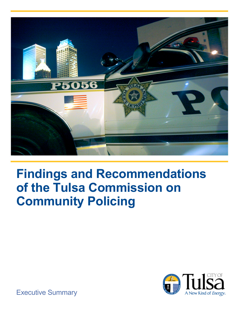

# **Findings and Recommendations of the Tulsa Commission on Community Policing**



Executive Summary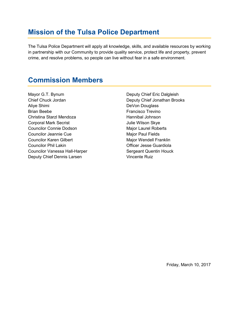## **Mission of the Tulsa Police Department**

The Tulsa Police Department will apply all knowledge, skills, and available resources by working in partnership with our Community to provide quality service, protect life and property, prevent crime, and resolve problems, so people can live without fear in a safe environment.

#### **Commission Members**

Mayor G.T. Bynum Chief Chuck Jordan Aliye Shimi Brian Beebe Christina Starzl Mendoza Corporal Mark Secrist Councilor Connie Dodson Councilor Jeannie Cue Councilor Karen Gilbert Councilor Phil Lakin Councilor Vanessa Hall-Harper Deputy Chief Dennis Larsen

Deputy Chief Eric Dalgleish Deputy Chief Jonathan Brooks DeVon Douglass Francisco Trevino Hannibal Johnson Julie Wilson Skye Major Laurel Roberts Major Paul Fields Major Wendell Franklin Officer Jesse Guardiola Sergeant Quentin Houck Vincente Ruiz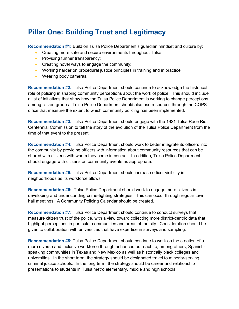# **Pillar One: Building Trust and Legitimacy**

**Recommendation #1:** Build on Tulsa Police Department's guardian mindset and culture by:

- Creating more safe and secure environments throughout Tulsa;
- Providing further transparency:
- Creating novel ways to engage the community;
- Working harder on procedural justice principles in training and in practice;
- Wearing body cameras.

**Recommendation #2:** Tulsa Police Department should continue to acknowledge the historical role of policing in shaping community perceptions about the work of police. This should include a list of initiatives that show how the Tulsa Police Department is working to change perceptions among citizen groups. Tulsa Police Department should also use resources through the COPS office that measure the extent to which community policing has been implemented.

**Recommendation #3:** Tulsa Police Department should engage with the 1921 Tulsa Race Riot Centennial Commission to tell the story of the evolution of the Tulsa Police Department from the time of that event to the present.

**Recommendation #4:** Tulsa Police Department should work to better integrate its officers into the community by providing officers with information about community resources that can be shared with citizens with whom they come in contact. In addition, Tulsa Police Department should engage with citizens on community events as appropriate.

**Recommendation #5:** Tulsa Police Department should increase officer visibility in neighborhoods as its workforce allows.

**Recommendation #6:** Tulsa Police Department should work to engage more citizens in developing and understanding crime-fighting strategies. This can occur through regular town hall meetings. A Community Policing Calendar should be created.

**Recommendation #7:** Tulsa Police Department should continue to conduct surveys that measure citizen trust of the police, with a view toward collecting more district-centric data that highlight perceptions in particular communities and areas of the city. Consideration should be given to collaboration with universities that have expertise in surveys and sampling.

**Recommendation #8:** Tulsa Police Department should continue to work on the creation of a more diverse and inclusive workforce through enhanced outreach to, among others, Spanishspeaking communities in Texas and New Mexico as well as historically black colleges and universities. In the short term, the strategy should be designated travel to minority-serving criminal justice schools. In the long term, the strategy should be career and relationship presentations to students in Tulsa metro elementary, middle and high schools.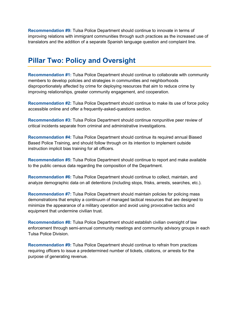**Recommendation #9:** Tulsa Police Department should continue to innovate in terms of improving relations with immigrant communities through such practices as the increased use of translators and the addition of a separate Spanish language question and complaint line.

#### **Pillar Two: Policy and Oversight**

**Recommendation #1:** Tulsa Police Department should continue to collaborate with community members to develop policies and strategies in communities and neighborhoods disproportionately affected by crime for deploying resources that aim to reduce crime by improving relationships, greater community engagement, and cooperation.

**Recommendation #2:** Tulsa Police Department should continue to make its use of force policy accessible online and offer a frequently-asked-questions section.

**Recommendation #3:** Tulsa Police Department should continue nonpunitive peer review of critical incidents separate from criminal and administrative investigations.

**Recommendation #4:** Tulsa Police Department should continue its required annual Biased Based Police Training, and should follow through on its intention to implement outside instruction implicit bias training for all officers.

**Recommendation #5:** Tulsa Police Department should continue to report and make available to the public census data regarding the composition of the Department.

**Recommendation #6:** Tulsa Police Department should continue to collect, maintain, and analyze demographic data on all detentions (including stops, frisks, arrests, searches, etc.).

**Recommendation #7:** Tulsa Police Department should maintain policies for policing mass demonstrations that employ a continuum of managed tactical resources that are designed to minimize the appearance of a military operation and avoid using provocative tactics and equipment that undermine civilian trust.

**Recommendation #8:** Tulsa Police Department should establish civilian oversight of law enforcement through semi-annual community meetings and community advisory groups in each Tulsa Police Division.

**Recommendation #9:** Tulsa Police Department should continue to refrain from practices requiring officers to issue a predetermined number of tickets, citations, or arrests for the purpose of generating revenue.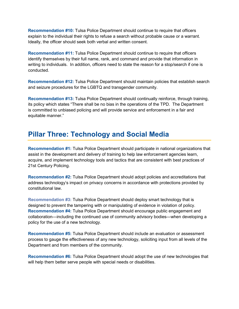**Recommendation #10:** Tulsa Police Department should continue to require that officers explain to the individual their rights to refuse a search without probable cause or a warrant. Ideally, the officer should seek both verbal and written consent.

**Recommendation #11:** Tulsa Police Department should continue to require that officers identify themselves by their full name, rank, and command and provide that information in writing to individuals. In addition, officers need to state the reason for a stop/search if one is conducted.

**Recommendation #12:** Tulsa Police Department should maintain policies that establish search and seizure procedures for the LGBTQ and transgender community.

**Recommendation #13:** Tulsa Police Department should continually reinforce, through training, its policy which states "There shall be no bias in the operations of the TPD. The Department is committed to unbiased policing and will provide service and enforcement in a fair and equitable manner."

## **Pillar Three: Technology and Social Media**

**Recommendation #1:** Tulsa Police Department should participate in national organizations that assist in the development and delivery of training to help law enforcement agencies learn, acquire, and implement technology tools and tactics that are consistent with best practices of 21st Century Policing.

**Recommendation #2:** Tulsa Police Department should adopt policies and accreditations that address technology's impact on privacy concerns in accordance with protections provided by constitutional law.

**Recommendation #3:** Tulsa Police Department should deploy smart technology that is designed to prevent the tampering with or manipulating of evidence in violation of policy. **Recommendation #4:** Tulsa Police Department should encourage public engagement and collaboration—including the continued use of community advisory bodies—when developing a policy for the use of a new technology.

**Recommendation #5:** Tulsa Police Department should include an evaluation or assessment process to gauge the effectiveness of any new technology, soliciting input from all levels of the Department and from members of the community.

**Recommendation #6:** Tulsa Police Department should adopt the use of new technologies that will help them better serve people with special needs or disabilities.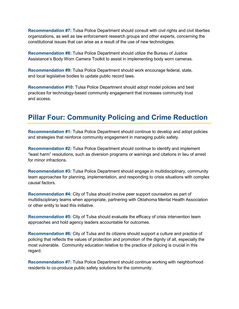**Recommendation #7:** Tulsa Police Department should consult with civil rights and civil liberties organizations, as well as law enforcement research groups and other experts, concerning the constitutional issues that can arise as a result of the use of new technologies.

**Recommendation #8:** Tulsa Police Department should utilize the Bureau of Justice Assistance's Body Worn Camera Toolkit to assist in implementing body worn cameras.

**Recommendation #9:** Tulsa Police Department should work encourage federal, state, and local legislative bodies to update public record laws.

**Recommendation #10:** Tulsa Police Department should adopt model policies and best practices for technology-based community engagement that increases community trust and access.

# **Pillar Four: Community Policing and Crime Reduction**

**Recommendation #1:** Tulsa Police Department should continue to develop and adopt policies and strategies that reinforce community engagement in managing public safety.

**Recommendation #2:** Tulsa Police Department should continue to identify and implement "least harm" resolutions, such as diversion programs or warnings and citations in lieu of arrest for minor infractions.

**Recommendation #3:** Tulsa Police Department should engage in multidisciplinary, community team approaches for planning, implementation, and responding to crisis situations with complex causal factors.

**Recommendation #4:** City of Tulsa should involve peer support counselors as part of multidisciplinary teams when appropriate, partnering with Oklahoma Mental Health Association or other entity to lead this initiative.

**Recommendation #5:** City of Tulsa should evaluate the efficacy of crisis intervention team approaches and hold agency leaders accountable for outcomes.

**Recommendation #6:** City of Tulsa and its citizens should support a culture and practice of policing that reflects the values of protection and promotion of the dignity of all, especially the most vulnerable. Community education relative to the practice of policing is crucial in this regard.

**Recommendation #7:** Tulsa Police Department should continue working with neighborhood residents to co-produce public safety solutions for the community.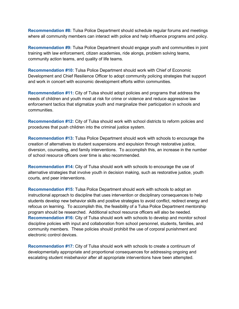**Recommendation #8:** Tulsa Police Department should schedule regular forums and meetings where all community members can interact with police and help influence programs and policy.

**Recommendation #9:** Tulsa Police Department should engage youth and communities in joint training with law enforcement, citizen academies, ride alongs, problem solving teams, community action teams, and quality of life teams.

**Recommendation #10:** Tulsa Police Department should work with Chief of Economic Development and Chief Resilience Officer to adopt community policing strategies that support and work in concert with economic development efforts within communities.

**Recommendation #11:** City of Tulsa should adopt policies and programs that address the needs of children and youth most at risk for crime or violence and reduce aggressive law enforcement tactics that stigmatize youth and marginalize their participation in schools and communities.

**Recommendation #12:** City of Tulsa should work with school districts to reform policies and procedures that push children into the criminal justice system.

**Recommendation #13:** Tulsa Police Department should work with schools to encourage the creation of alternatives to student suspensions and expulsion through restorative justice, diversion, counseling, and family interventions. To accomplish this, an increase in the number of school resource officers over time is also recommended.

**Recommendation #14:** City of Tulsa should work with schools to encourage the use of alternative strategies that involve youth in decision making, such as restorative justice, youth courts, and peer interventions.

**Recommendation #15:** Tulsa Police Department should work with schools to adopt an instructional approach to discipline that uses intervention or disciplinary consequences to help students develop new behavior skills and positive strategies to avoid conflict, redirect energy and refocus on learning. To accomplish this, the feasibility of a Tulsa Police Department mentorship program should be researched. Additional school resource officers will also be needed. **Recommendation #16:** City of Tulsa should work with schools to develop and monitor school discipline policies with input and collaboration from school personnel, students, families, and community members. These policies should prohibit the use of corporal punishment and electronic control devices.

**Recommendation #17:** City of Tulsa should work with schools to create a continuum of developmentally appropriate and proportional consequences for addressing ongoing and escalating student misbehavior after all appropriate interventions have been attempted.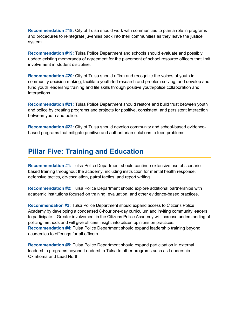**Recommendation #18:** City of Tulsa should work with communities to plan a role in programs and procedures to reintegrate juveniles back into their communities as they leave the justice system.

**Recommendation #19:** Tulsa Police Department and schools should evaluate and possibly update existing memoranda of agreement for the placement of school resource officers that limit involvement in student discipline.

**Recommendation #20:** City of Tulsa should affirm and recognize the voices of youth in community decision making, facilitate youth-led research and problem solving, and develop and fund youth leadership training and life skills through positive youth/police collaboration and interactions.

**Recommendation #21:** Tulsa Police Department should restore and build trust between youth and police by creating programs and projects for positive, consistent, and persistent interaction between youth and police.

**Recommendation #22:** City of Tulsa should develop community and school-based evidencebased programs that mitigate punitive and authoritarian solutions to teen problems.

#### **Pillar Five: Training and Education**

**Recommendation #1:** Tulsa Police Department should continue extensive use of scenariobased training throughout the academy, including instruction for mental health response, defensive tactics, de-escalation, patrol tactics, and report writing.

**Recommendation #2:** Tulsa Police Department should explore additional partnerships with academic institutions focused on training, evaluation, and other evidence-based practices.

**Recommendation #3:** Tulsa Police Department should expand access to Citizens Police Academy by developing a condensed 8-hour one-day curriculum and inviting community leaders to participate. Greater involvement in the Citizens Police Academy will increase understanding of policing methods and will give officers insight into citizen opinions on practices. **Recommendation #4:** Tulsa Police Department should expand leadership training beyond academies to offerings for all officers.

**Recommendation #5:** Tulsa Police Department should expand participation in external leadership programs beyond Leadership Tulsa to other programs such as Leadership Oklahoma and Lead North.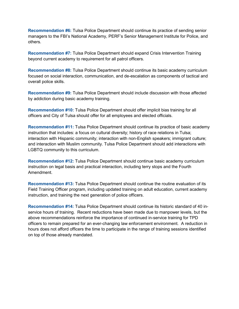**Recommendation #6:** Tulsa Police Department should continue its practice of sending senior managers to the FBI's National Academy, PERF's Senior Management Institute for Police, and others.

**Recommendation #7:** Tulsa Police Department should expand Crisis Intervention Training beyond current academy to requirement for all patrol officers.

**Recommendation #8:** Tulsa Police Department should continue its basic academy curriculum focused on social interaction, communication, and de-escalation as components of tactical and overall police skills.

**Recommendation #9:** Tulsa Police Department should include discussion with those affected by addiction during basic academy training.

**Recommendation #10:** Tulsa Police Department should offer implicit bias training for all officers and City of Tulsa should offer for all employees and elected officials.

**Recommendation #11:** Tulsa Police Department should continue its practice of basic academy instruction that includes: a focus on cultural diversity; history of race relations in Tulsa; interaction with Hispanic community; interaction with non-English speakers; immigrant culture; and interaction with Muslim community. Tulsa Police Department should add interactions with LGBTQ community to this curriculum.

**Recommendation #12:** Tulsa Police Department should continue basic academy curriculum instruction on legal basis and practical interaction, including terry stops and the Fourth Amendment.

**Recommendation #13:** Tulsa Police Department should continue the routine evaluation of its Field Training Officer program, including updated training on adult education, current academy instruction, and training the next generation of police officers.

**Recommendation #14:** Tulsa Police Department should continue its historic standard of 40 inservice hours of training. Recent reductions have been made due to manpower levels, but the above recommendations reinforce the importance of continued in-service training for TPD officers to remain prepared for an ever-changing law enforcement environment. A reduction in hours does not afford officers the time to participate in the range of training sessions identified on top of those already mandated.